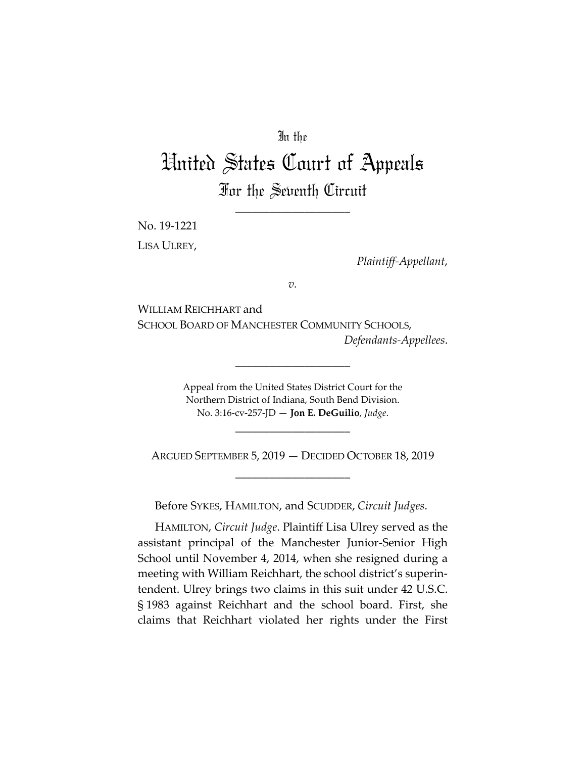## In the

## United States Court of Appeals For the Seventh Circuit

\_\_\_\_\_\_\_\_\_\_\_\_\_\_\_\_\_\_\_\_

No. 19-1221 LISA ULREY,

*Plaintiff-Appellant*,

*v.*

WILLIAM REICHHART and SCHOOL BOARD OF MANCHESTER COMMUNITY SCHOOLS, *Defendants-Appellees*.

\_\_\_\_\_\_\_\_\_\_\_\_\_\_\_\_\_\_\_\_

Appeal from the United States District Court for the Northern District of Indiana, South Bend Division. No. 3:16-cv-257-JD — **Jon E. DeGuilio**, *Judge*.

ARGUED SEPTEMBER 5, 2019 — DECIDED OCTOBER 18, 2019 \_\_\_\_\_\_\_\_\_\_\_\_\_\_\_\_\_\_\_\_

\_\_\_\_\_\_\_\_\_\_\_\_\_\_\_\_\_\_\_\_

Before SYKES, HAMILTON, and SCUDDER, *Circuit Judges*.

HAMILTON, *Circuit Judge*. Plaintiff Lisa Ulrey served as the assistant principal of the Manchester Junior-Senior High School until November 4, 2014, when she resigned during a meeting with William Reichhart, the school district's superintendent. Ulrey brings two claims in this suit under 42 U.S.C. § 1983 against Reichhart and the school board. First, she claims that Reichhart violated her rights under the First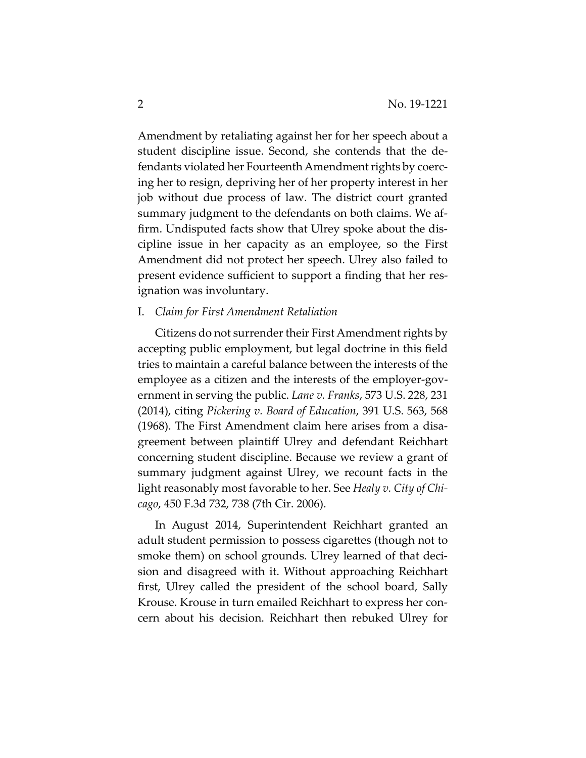Amendment by retaliating against her for her speech about a student discipline issue. Second, she contends that the defendants violated her Fourteenth Amendment rights by coercing her to resign, depriving her of her property interest in her job without due process of law. The district court granted summary judgment to the defendants on both claims. We affirm. Undisputed facts show that Ulrey spoke about the discipline issue in her capacity as an employee, so the First Amendment did not protect her speech. Ulrey also failed to present evidence sufficient to support a finding that her resignation was involuntary.

## I. *Claim for First Amendment Retaliation*

Citizens do not surrender their First Amendment rights by accepting public employment, but legal doctrine in this field tries to maintain a careful balance between the interests of the employee as a citizen and the interests of the employer-government in serving the public. *Lane v. Franks*, 573 U.S. 228, 231 (2014), citing *Pickering v. Board of Education*, 391 U.S. 563, 568 (1968). The First Amendment claim here arises from a disagreement between plaintiff Ulrey and defendant Reichhart concerning student discipline. Because we review a grant of summary judgment against Ulrey, we recount facts in the light reasonably most favorable to her. See *Healy v. City of Chicago*, 450 F.3d 732, 738 (7th Cir. 2006).

In August 2014, Superintendent Reichhart granted an adult student permission to possess cigarettes (though not to smoke them) on school grounds. Ulrey learned of that decision and disagreed with it. Without approaching Reichhart first, Ulrey called the president of the school board, Sally Krouse. Krouse in turn emailed Reichhart to express her concern about his decision. Reichhart then rebuked Ulrey for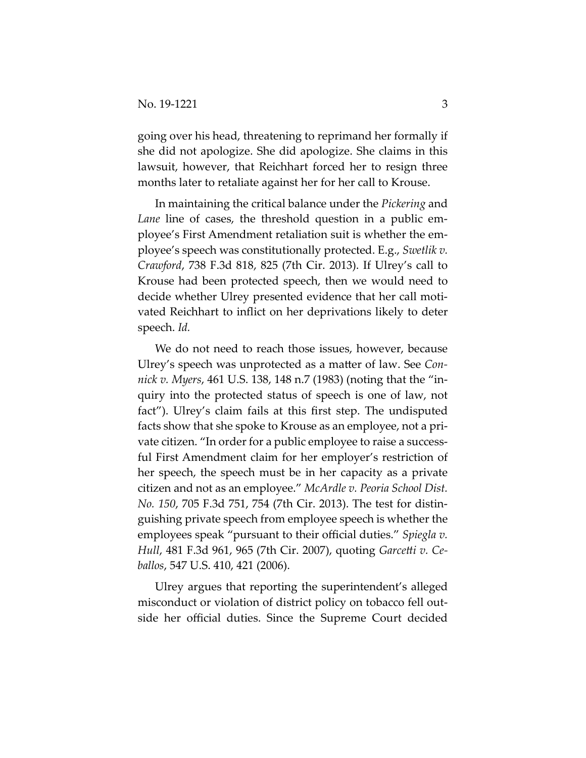going over his head, threatening to reprimand her formally if she did not apologize. She did apologize. She claims in this lawsuit, however, that Reichhart forced her to resign three months later to retaliate against her for her call to Krouse.

In maintaining the critical balance under the *Pickering* and *Lane* line of cases, the threshold question in a public employee's First Amendment retaliation suit is whether the employee's speech was constitutionally protected. E.g., *Swetlik v. Crawford*, 738 F.3d 818, 825 (7th Cir. 2013). If Ulrey's call to Krouse had been protected speech, then we would need to decide whether Ulrey presented evidence that her call motivated Reichhart to inflict on her deprivations likely to deter speech. *Id.*

We do not need to reach those issues, however, because Ulrey's speech was unprotected as a matter of law. See *Connick v. Myers*, 461 U.S. 138, 148 n.7 (1983) (noting that the "inquiry into the protected status of speech is one of law, not fact"). Ulrey's claim fails at this first step. The undisputed facts show that she spoke to Krouse as an employee, not a private citizen. "In order for a public employee to raise a successful First Amendment claim for her employer's restriction of her speech, the speech must be in her capacity as a private citizen and not as an employee." *McArdle v. Peoria School Dist. No. 150*, 705 F.3d 751, 754 (7th Cir. 2013). The test for distinguishing private speech from employee speech is whether the employees speak "pursuant to their official duties." *Spiegla v. Hull*, 481 F.3d 961, 965 (7th Cir. 2007), quoting *Garcetti v. Ceballos*, 547 U.S. 410, 421 (2006).

Ulrey argues that reporting the superintendent's alleged misconduct or violation of district policy on tobacco fell outside her official duties. Since the Supreme Court decided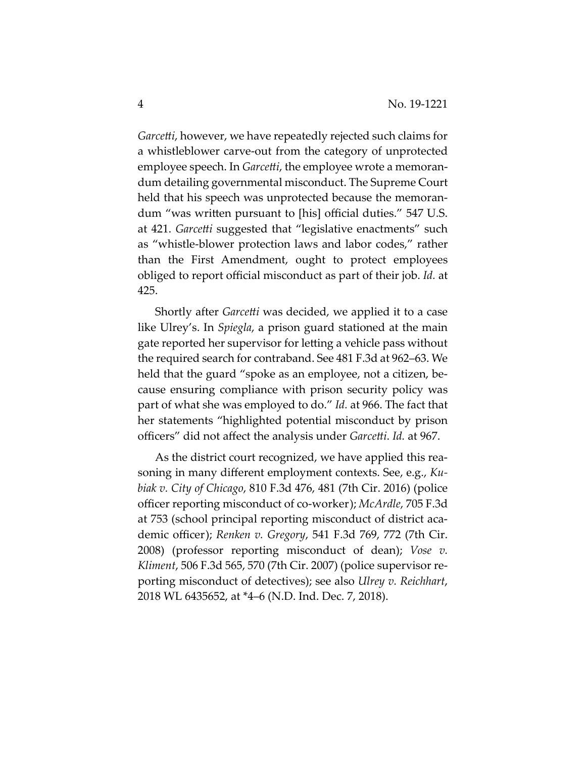*Garcetti*, however, we have repeatedly rejected such claims for a whistleblower carve-out from the category of unprotected employee speech. In *Garcetti*, the employee wrote a memorandum detailing governmental misconduct. The Supreme Court held that his speech was unprotected because the memorandum "was written pursuant to [his] official duties." 547 U.S. at 421. *Garcetti* suggested that "legislative enactments" such as "whistle-blower protection laws and labor codes," rather than the First Amendment, ought to protect employees obliged to report official misconduct as part of their job. *Id.* at 425.

Shortly after *Garcetti* was decided, we applied it to a case like Ulrey's. In *Spiegla*, a prison guard stationed at the main gate reported her supervisor for letting a vehicle pass without the required search for contraband. See 481 F.3d at 962–63. We held that the guard "spoke as an employee, not a citizen, because ensuring compliance with prison security policy was part of what she was employed to do." *Id.* at 966. The fact that her statements "highlighted potential misconduct by prison officers" did not affect the analysis under *Garcetti*. *Id.* at 967.

As the district court recognized, we have applied this reasoning in many different employment contexts. See, e.g., *Kubiak v. City of Chicago*, 810 F.3d 476, 481 (7th Cir. 2016) (police officer reporting misconduct of co-worker); *McArdle*, 705 F.3d at 753 (school principal reporting misconduct of district academic officer); *Renken v. Gregory*, 541 F.3d 769, 772 (7th Cir. 2008) (professor reporting misconduct of dean); *Vose v. Kliment*, 506 F.3d 565, 570 (7th Cir. 2007) (police supervisor reporting misconduct of detectives); see also *Ulrey v. Reichhart*, 2018 WL 6435652, at \*4–6 (N.D. Ind. Dec. 7, 2018).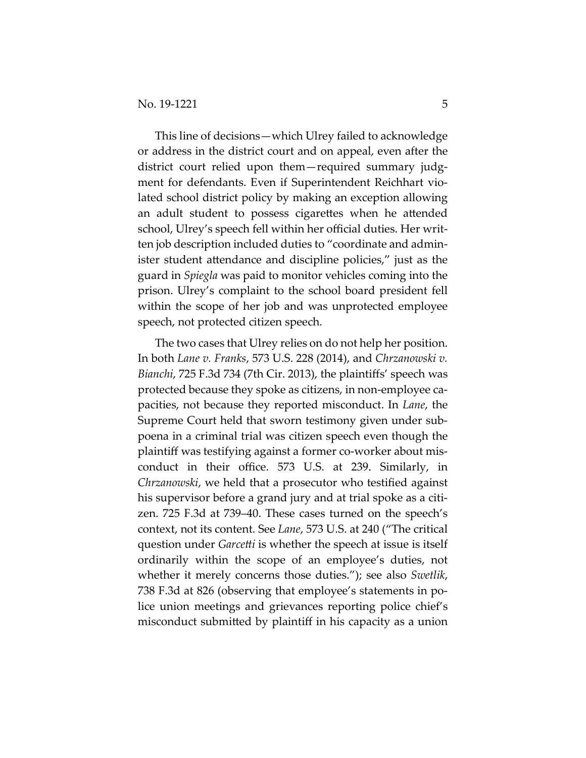This line of decisions—which Ulrey failed to acknowledge or address in the district court and on appeal, even after the district court relied upon them—required summary judgment for defendants. Even if Superintendent Reichhart violated school district policy by making an exception allowing an adult student to possess cigarettes when he attended school, Ulrey's speech fell within her official duties. Her written job description included duties to "coordinate and administer student attendance and discipline policies," just as the guard in *Spiegla* was paid to monitor vehicles coming into the prison. Ulrey's complaint to the school board president fell within the scope of her job and was unprotected employee speech, not protected citizen speech.

The two cases that Ulrey relies on do not help her position. In both *Lane v. Franks*, 573 U.S. 228 (2014), and *Chrzanowski v. Bianchi*, 725 F.3d 734 (7th Cir. 2013), the plaintiffs' speech was protected because they spoke as citizens, in non-employee capacities, not because they reported misconduct. In *Lane*, the Supreme Court held that sworn testimony given under subpoena in a criminal trial was citizen speech even though the plaintiff was testifying against a former co-worker about misconduct in their office. 573 U.S. at 239. Similarly, in *Chrzanowski*, we held that a prosecutor who testified against his supervisor before a grand jury and at trial spoke as a citizen. 725 F.3d at 739–40. These cases turned on the speech's context, not its content. See *Lane*, 573 U.S. at 240 ("The critical question under *Garcetti* is whether the speech at issue is itself ordinarily within the scope of an employee's duties, not whether it merely concerns those duties."); see also *Swetlik*, 738 F.3d at 826 (observing that employee's statements in police union meetings and grievances reporting police chief's misconduct submitted by plaintiff in his capacity as a union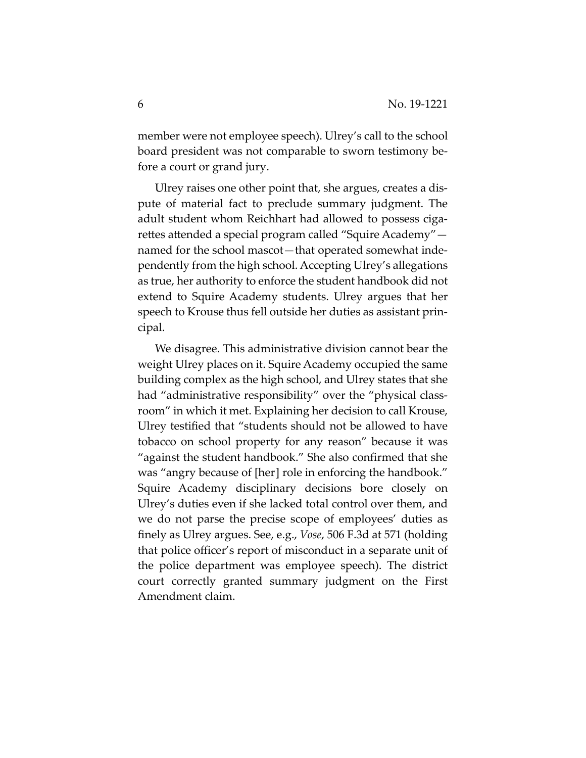member were not employee speech). Ulrey's call to the school board president was not comparable to sworn testimony before a court or grand jury.

Ulrey raises one other point that, she argues, creates a dispute of material fact to preclude summary judgment. The adult student whom Reichhart had allowed to possess cigarettes attended a special program called "Squire Academy" named for the school mascot—that operated somewhat independently from the high school. Accepting Ulrey's allegations as true, her authority to enforce the student handbook did not extend to Squire Academy students. Ulrey argues that her speech to Krouse thus fell outside her duties as assistant principal.

We disagree. This administrative division cannot bear the weight Ulrey places on it. Squire Academy occupied the same building complex as the high school, and Ulrey states that she had "administrative responsibility" over the "physical classroom" in which it met. Explaining her decision to call Krouse, Ulrey testified that "students should not be allowed to have tobacco on school property for any reason" because it was "against the student handbook." She also confirmed that she was "angry because of [her] role in enforcing the handbook." Squire Academy disciplinary decisions bore closely on Ulrey's duties even if she lacked total control over them, and we do not parse the precise scope of employees' duties as finely as Ulrey argues. See, e.g., *Vose*, 506 F.3d at 571 (holding that police officer's report of misconduct in a separate unit of the police department was employee speech). The district court correctly granted summary judgment on the First Amendment claim.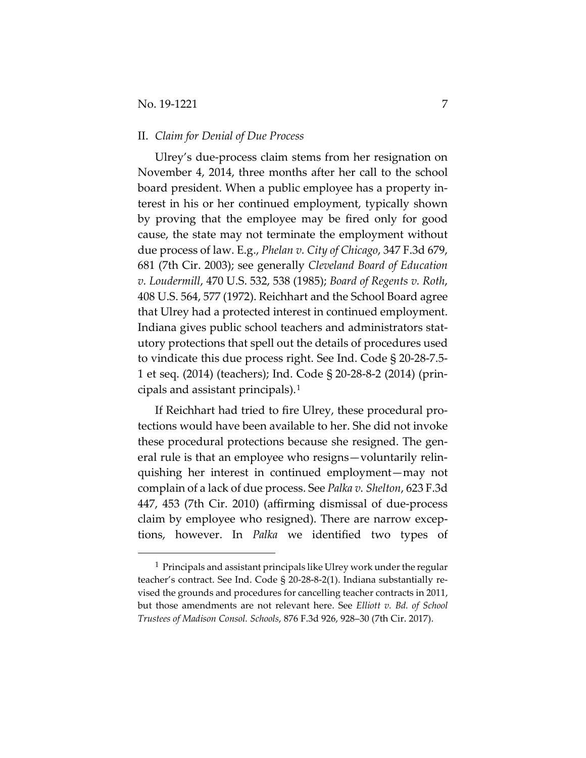## II. *Claim for Denial of Due Process*

Ulrey's due-process claim stems from her resignation on November 4, 2014, three months after her call to the school board president. When a public employee has a property interest in his or her continued employment, typically shown by proving that the employee may be fired only for good cause, the state may not terminate the employment without due process of law. E.g., *Phelan v. City of Chicago*, 347 F.3d 679, 681 (7th Cir. 2003); see generally *Cleveland Board of Education v. Loudermill*, 470 U.S. 532, 538 (1985); *Board of Regents v. Roth*, 408 U.S. 564, 577 (1972). Reichhart and the School Board agree that Ulrey had a protected interest in continued employment. Indiana gives public school teachers and administrators statutory protections that spell out the details of procedures used to vindicate this due process right. See Ind. Code § 20-28-7.5- 1 et seq. (2014) (teachers); Ind. Code § 20-28-8-2 (2014) (principals and assistant principals).[1](#page-6-0)

If Reichhart had tried to fire Ulrey, these procedural protections would have been available to her. She did not invoke these procedural protections because she resigned. The general rule is that an employee who resigns—voluntarily relinquishing her interest in continued employment—may not complain of a lack of due process. See *Palka v. Shelton*, 623 F.3d 447, 453 (7th Cir. 2010) (affirming dismissal of due-process claim by employee who resigned). There are narrow exceptions, however. In *Palka* we identified two types of

<span id="page-6-0"></span> $1$  Principals and assistant principals like Ulrey work under the regular teacher's contract. See Ind. Code § 20-28-8-2(1). Indiana substantially revised the grounds and procedures for cancelling teacher contracts in 2011, but those amendments are not relevant here. See *Elliott v. Bd. of School Trustees of Madison Consol. Schools*, 876 F.3d 926, 928–30 (7th Cir. 2017).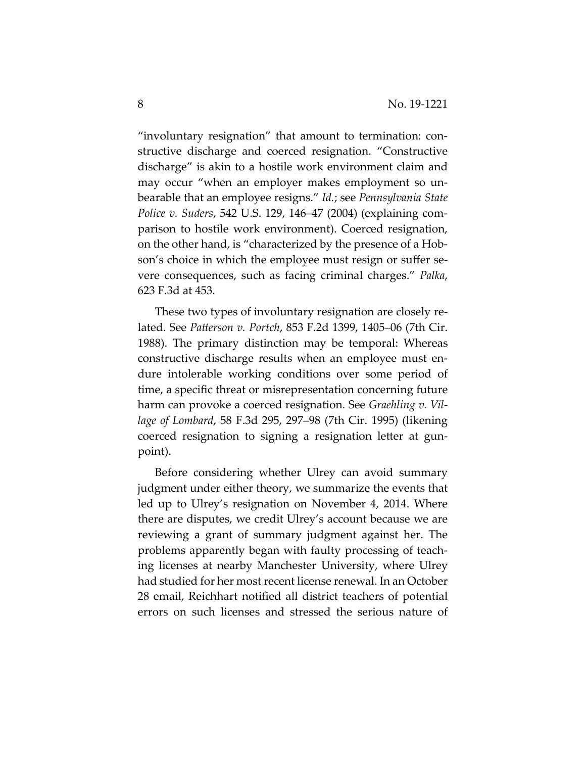"involuntary resignation" that amount to termination: constructive discharge and coerced resignation. "Constructive discharge" is akin to a hostile work environment claim and may occur "when an employer makes employment so unbearable that an employee resigns." *Id.*; see *Pennsylvania State Police v. Suders*, 542 U.S. 129, 146–47 (2004) (explaining comparison to hostile work environment). Coerced resignation, on the other hand, is "characterized by the presence of a Hobson's choice in which the employee must resign or suffer severe consequences, such as facing criminal charges." *Palka*, 623 F.3d at 453.

These two types of involuntary resignation are closely related. See *Patterson v. Portch*, 853 F.2d 1399, 1405–06 (7th Cir. 1988). The primary distinction may be temporal: Whereas constructive discharge results when an employee must endure intolerable working conditions over some period of time, a specific threat or misrepresentation concerning future harm can provoke a coerced resignation. See *Graehling v. Village of Lombard*, 58 F.3d 295, 297–98 (7th Cir. 1995) (likening coerced resignation to signing a resignation letter at gunpoint).

Before considering whether Ulrey can avoid summary judgment under either theory, we summarize the events that led up to Ulrey's resignation on November 4, 2014. Where there are disputes, we credit Ulrey's account because we are reviewing a grant of summary judgment against her. The problems apparently began with faulty processing of teaching licenses at nearby Manchester University, where Ulrey had studied for her most recent license renewal. In an October 28 email, Reichhart notified all district teachers of potential errors on such licenses and stressed the serious nature of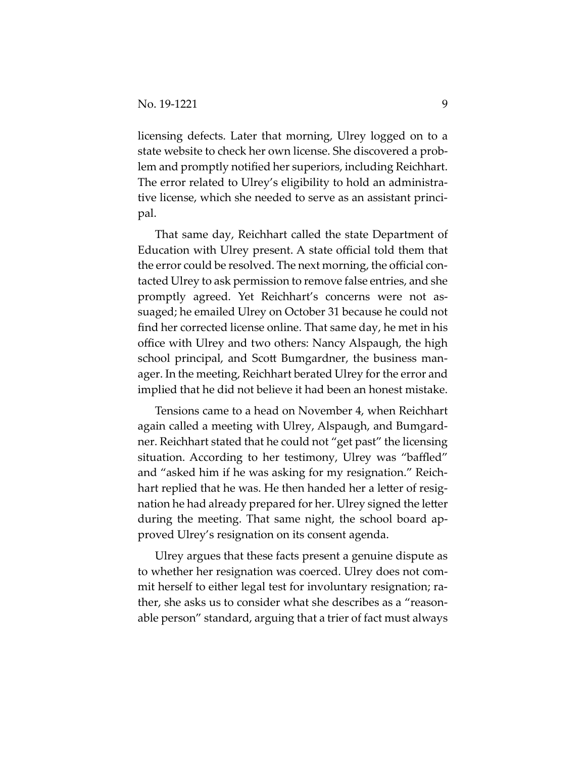licensing defects. Later that morning, Ulrey logged on to a state website to check her own license. She discovered a problem and promptly notified her superiors, including Reichhart. The error related to Ulrey's eligibility to hold an administrative license, which she needed to serve as an assistant principal.

That same day, Reichhart called the state Department of Education with Ulrey present. A state official told them that the error could be resolved. The next morning, the official contacted Ulrey to ask permission to remove false entries, and she promptly agreed. Yet Reichhart's concerns were not assuaged; he emailed Ulrey on October 31 because he could not find her corrected license online. That same day, he met in his office with Ulrey and two others: Nancy Alspaugh, the high school principal, and Scott Bumgardner, the business manager. In the meeting, Reichhart berated Ulrey for the error and implied that he did not believe it had been an honest mistake.

Tensions came to a head on November 4, when Reichhart again called a meeting with Ulrey, Alspaugh, and Bumgardner. Reichhart stated that he could not "get past" the licensing situation. According to her testimony, Ulrey was "baffled" and "asked him if he was asking for my resignation." Reichhart replied that he was. He then handed her a letter of resignation he had already prepared for her. Ulrey signed the letter during the meeting. That same night, the school board approved Ulrey's resignation on its consent agenda.

Ulrey argues that these facts present a genuine dispute as to whether her resignation was coerced. Ulrey does not commit herself to either legal test for involuntary resignation; rather, she asks us to consider what she describes as a "reasonable person" standard, arguing that a trier of fact must always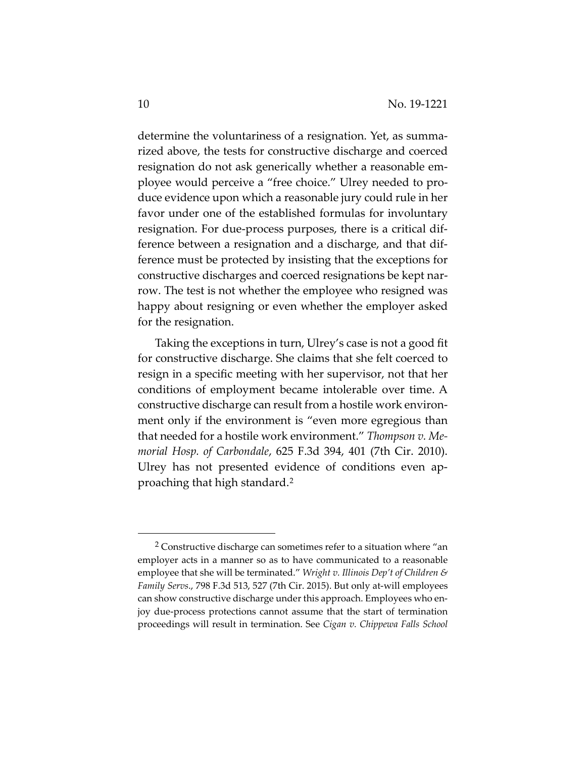determine the voluntariness of a resignation. Yet, as summarized above, the tests for constructive discharge and coerced resignation do not ask generically whether a reasonable employee would perceive a "free choice." Ulrey needed to produce evidence upon which a reasonable jury could rule in her favor under one of the established formulas for involuntary resignation. For due-process purposes, there is a critical difference between a resignation and a discharge, and that difference must be protected by insisting that the exceptions for constructive discharges and coerced resignations be kept narrow. The test is not whether the employee who resigned was happy about resigning or even whether the employer asked for the resignation.

Taking the exceptions in turn, Ulrey's case is not a good fit for constructive discharge. She claims that she felt coerced to resign in a specific meeting with her supervisor, not that her conditions of employment became intolerable over time. A constructive discharge can result from a hostile work environment only if the environment is "even more egregious than that needed for a hostile work environment." *Thompson v. Memorial Hosp. of Carbondale*, 625 F.3d 394, 401 (7th Cir. 2010). Ulrey has not presented evidence of conditions even approaching that high standard.[2](#page-9-0)

<span id="page-9-0"></span> <sup>2</sup> Constructive discharge can sometimes refer to a situation where "an employer acts in a manner so as to have communicated to a reasonable employee that she will be terminated." *Wright v. Illinois Dep't of Children & Family Servs*., 798 F.3d 513, 527 (7th Cir. 2015). But only at-will employees can show constructive discharge under this approach. Employees who enjoy due-process protections cannot assume that the start of termination proceedings will result in termination. See *Cigan v. Chippewa Falls School*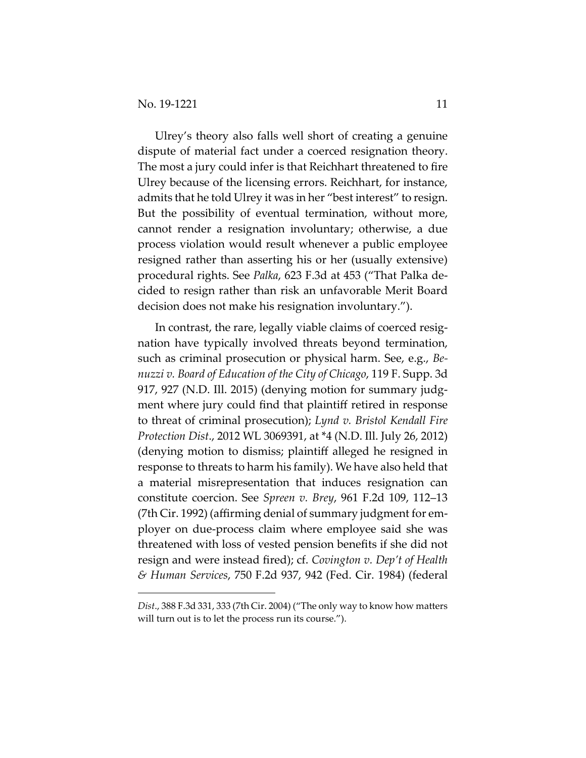$\overline{a}$ 

Ulrey's theory also falls well short of creating a genuine dispute of material fact under a coerced resignation theory. The most a jury could infer is that Reichhart threatened to fire Ulrey because of the licensing errors. Reichhart, for instance, admits that he told Ulrey it was in her "best interest" to resign. But the possibility of eventual termination, without more, cannot render a resignation involuntary; otherwise, a due process violation would result whenever a public employee resigned rather than asserting his or her (usually extensive) procedural rights. See *Palka*, 623 F.3d at 453 ("That Palka decided to resign rather than risk an unfavorable Merit Board decision does not make his resignation involuntary.").

In contrast, the rare, legally viable claims of coerced resignation have typically involved threats beyond termination, such as criminal prosecution or physical harm. See, e.g., *Benuzzi v. Board of Education of the City of Chicago*, 119 F. Supp. 3d 917, 927 (N.D. Ill. 2015) (denying motion for summary judgment where jury could find that plaintiff retired in response to threat of criminal prosecution); *Lynd v. Bristol Kendall Fire Protection Dist*., 2012 WL 3069391, at \*4 (N.D. Ill. July 26, 2012) (denying motion to dismiss; plaintiff alleged he resigned in response to threats to harm his family). We have also held that a material misrepresentation that induces resignation can constitute coercion. See *Spreen v. Brey*, 961 F.2d 109, 112–13 (7th Cir. 1992) (affirming denial of summary judgment for employer on due-process claim where employee said she was threatened with loss of vested pension benefits if she did not resign and were instead fired); cf. *Covington v. Dep't of Health & Human Services*, 750 F.2d 937, 942 (Fed. Cir. 1984) (federal

*Dist*., 388 F.3d 331, 333 (7th Cir. 2004) ("The only way to know how matters will turn out is to let the process run its course.").